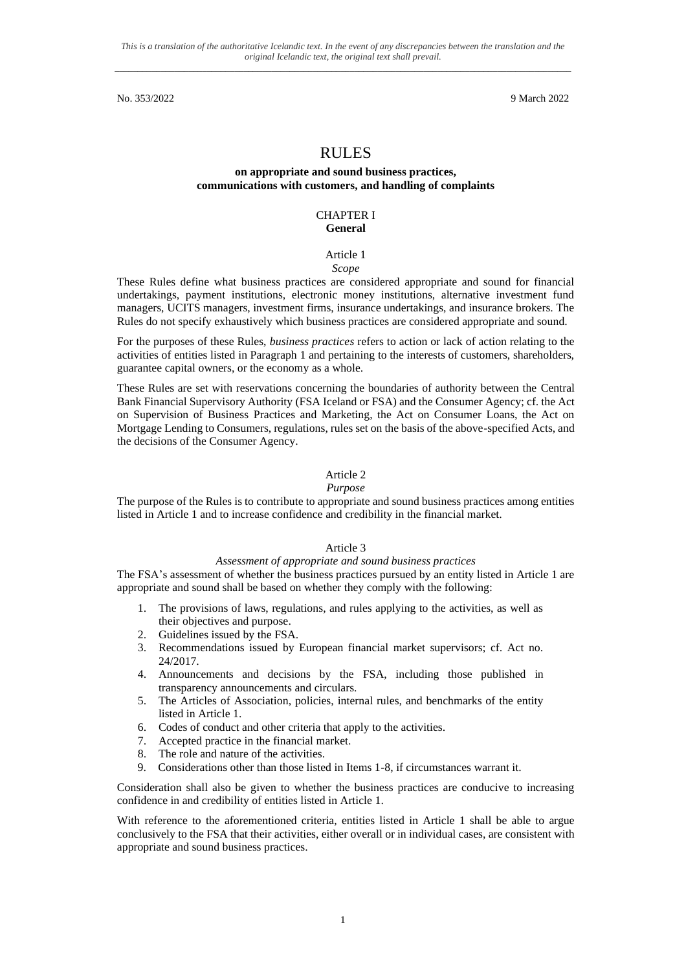# RULES

## **on appropriate and sound business practices, communications with customers, and handling of complaints**

## CHAPTER I **General**

### Article 1

## *Scope*

These Rules define what business practices are considered appropriate and sound for financial undertakings, payment institutions, electronic money institutions, alternative investment fund managers, UCITS managers, investment firms, insurance undertakings, and insurance brokers. The Rules do not specify exhaustively which business practices are considered appropriate and sound.

For the purposes of these Rules, *business practices* refers to action or lack of action relating to the activities of entities listed in Paragraph 1 and pertaining to the interests of customers, shareholders, guarantee capital owners, or the economy as a whole.

These Rules are set with reservations concerning the boundaries of authority between the Central Bank Financial Supervisory Authority (FSA Iceland or FSA) and the Consumer Agency; cf. the Act on Supervision of Business Practices and Marketing, the Act on Consumer Loans, the Act on Mortgage Lending to Consumers, regulations, rules set on the basis of the above-specified Acts, and the decisions of the Consumer Agency.

## Article 2

#### *Purpose*

The purpose of the Rules is to contribute to appropriate and sound business practices among entities listed in Article 1 and to increase confidence and credibility in the financial market.

## Article 3

#### *Assessment of appropriate and sound business practices*

The FSA's assessment of whether the business practices pursued by an entity listed in Article 1 are appropriate and sound shall be based on whether they comply with the following:

- 1. The provisions of laws, regulations, and rules applying to the activities, as well as their objectives and purpose.
- 2. Guidelines issued by the FSA.
- 3. Recommendations issued by European financial market supervisors; cf. Act no. 24/2017.
- 4. Announcements and decisions by the FSA, including those published in transparency announcements and circulars.
- 5. The Articles of Association, policies, internal rules, and benchmarks of the entity listed in Article 1.
- 6. Codes of conduct and other criteria that apply to the activities.
- 7. Accepted practice in the financial market.
- 8. The role and nature of the activities.
- 9. Considerations other than those listed in Items 1-8, if circumstances warrant it.

Consideration shall also be given to whether the business practices are conducive to increasing confidence in and credibility of entities listed in Article 1.

With reference to the aforementioned criteria, entities listed in Article 1 shall be able to argue conclusively to the FSA that their activities, either overall or in individual cases, are consistent with appropriate and sound business practices.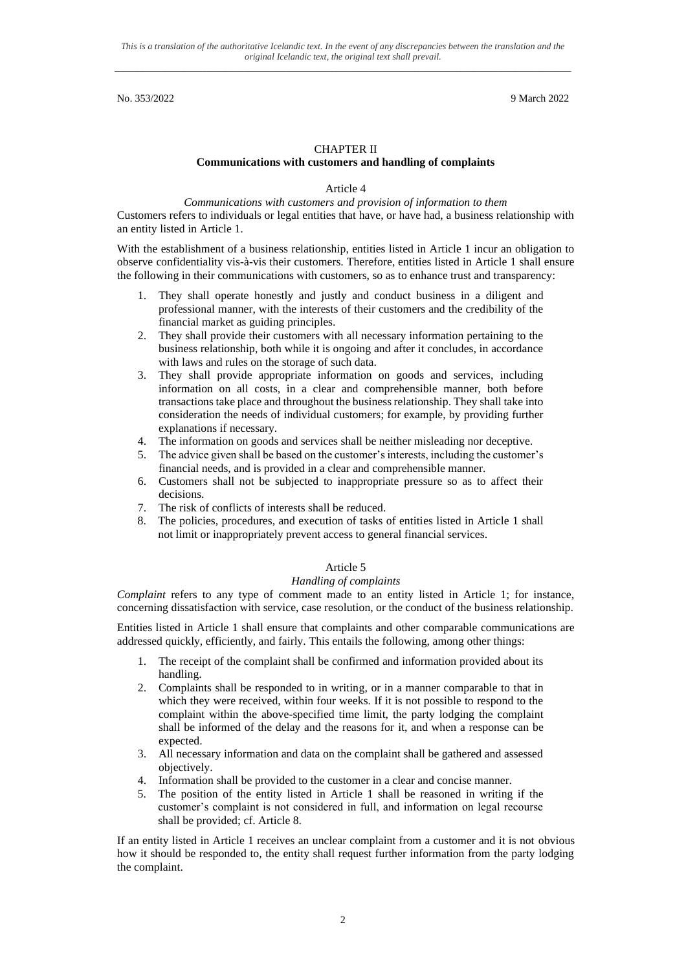## CHAPTER II

#### **Communications with customers and handling of complaints**

Article 4

*Communications with customers and provision of information to them* Customers refers to individuals or legal entities that have, or have had, a business relationship with an entity listed in Article 1.

With the establishment of a business relationship, entities listed in Article 1 incur an obligation to observe confidentiality vis-à-vis their customers. Therefore, entities listed in Article 1 shall ensure the following in their communications with customers, so as to enhance trust and transparency:

- 1. They shall operate honestly and justly and conduct business in a diligent and professional manner, with the interests of their customers and the credibility of the financial market as guiding principles.
- 2. They shall provide their customers with all necessary information pertaining to the business relationship, both while it is ongoing and after it concludes, in accordance with laws and rules on the storage of such data.
- 3. They shall provide appropriate information on goods and services, including information on all costs, in a clear and comprehensible manner, both before transactions take place and throughout the business relationship. They shall take into consideration the needs of individual customers; for example, by providing further explanations if necessary.
- 4. The information on goods and services shall be neither misleading nor deceptive.
- 5. The advice given shall be based on the customer's interests, including the customer's financial needs, and is provided in a clear and comprehensible manner.
- 6. Customers shall not be subjected to inappropriate pressure so as to affect their decisions.
- 7. The risk of conflicts of interests shall be reduced.
- 8. The policies, procedures, and execution of tasks of entities listed in Article 1 shall not limit or inappropriately prevent access to general financial services.

# Article 5

#### *Handling of complaints*

*Complaint* refers to any type of comment made to an entity listed in Article 1; for instance, concerning dissatisfaction with service, case resolution, or the conduct of the business relationship.

Entities listed in Article 1 shall ensure that complaints and other comparable communications are addressed quickly, efficiently, and fairly. This entails the following, among other things:

- 1. The receipt of the complaint shall be confirmed and information provided about its handling.
- 2. Complaints shall be responded to in writing, or in a manner comparable to that in which they were received, within four weeks. If it is not possible to respond to the complaint within the above-specified time limit, the party lodging the complaint shall be informed of the delay and the reasons for it, and when a response can be expected.
- 3. All necessary information and data on the complaint shall be gathered and assessed objectively.
- 4. Information shall be provided to the customer in a clear and concise manner.
- 5. The position of the entity listed in Article 1 shall be reasoned in writing if the customer's complaint is not considered in full, and information on legal recourse shall be provided; cf. Article 8.

If an entity listed in Article 1 receives an unclear complaint from a customer and it is not obvious how it should be responded to, the entity shall request further information from the party lodging the complaint.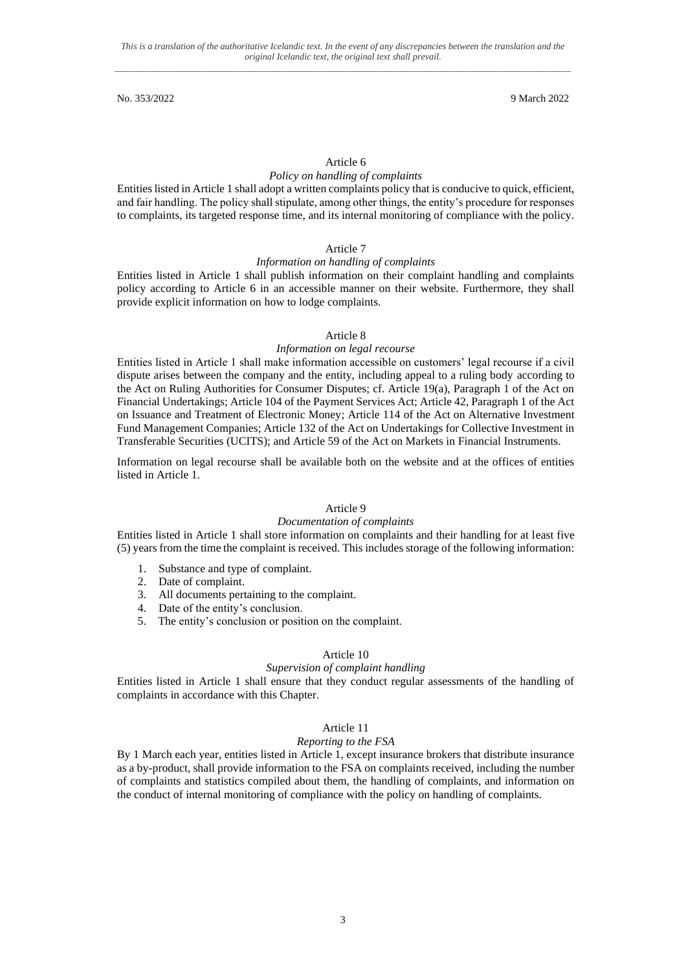## Article 6

#### *Policy on handling of complaints*

Entities listed in Article 1 shall adopt a written complaints policy that is conducive to quick, efficient, and fair handling. The policy shall stipulate, among other things, the entity's procedure for responses to complaints, its targeted response time, and its internal monitoring of compliance with the policy.

### Article 7

#### *Information on handling of complaints*

Entities listed in Article 1 shall publish information on their complaint handling and complaints policy according to Article 6 in an accessible manner on their website. Furthermore, they shall provide explicit information on how to lodge complaints.

#### Article 8

#### *Information on legal recourse*

Entities listed in Article 1 shall make information accessible on customers' legal recourse if a civil dispute arises between the company and the entity, including appeal to a ruling body according to the Act on Ruling Authorities for Consumer Disputes; cf. Article 19(a), Paragraph 1 of the Act on Financial Undertakings; Article 104 of the Payment Services Act; Article 42, Paragraph 1 of the Act on Issuance and Treatment of Electronic Money; Article 114 of the Act on Alternative Investment Fund Management Companies; Article 132 of the Act on Undertakings for Collective Investment in Transferable Securities (UCITS); and Article 59 of the Act on Markets in Financial Instruments.

Information on legal recourse shall be available both on the website and at the offices of entities listed in Article 1.

#### Article 9

## *Documentation of complaints*

Entities listed in Article 1 shall store information on complaints and their handling for at least five (5) years from the time the complaint is received. This includes storage of the following information:

- 1. Substance and type of complaint.
- 2. Date of complaint.
- 3. All documents pertaining to the complaint.
- 4. Date of the entity's conclusion.
- 5. The entity's conclusion or position on the complaint.

## Article 10

#### *Supervision of complaint handling*

Entities listed in Article 1 shall ensure that they conduct regular assessments of the handling of complaints in accordance with this Chapter.

## Article 11

#### *Reporting to the FSA*

By 1 March each year, entities listed in Article 1, except insurance brokers that distribute insurance as a by-product, shall provide information to the FSA on complaints received, including the number of complaints and statistics compiled about them, the handling of complaints, and information on the conduct of internal monitoring of compliance with the policy on handling of complaints.